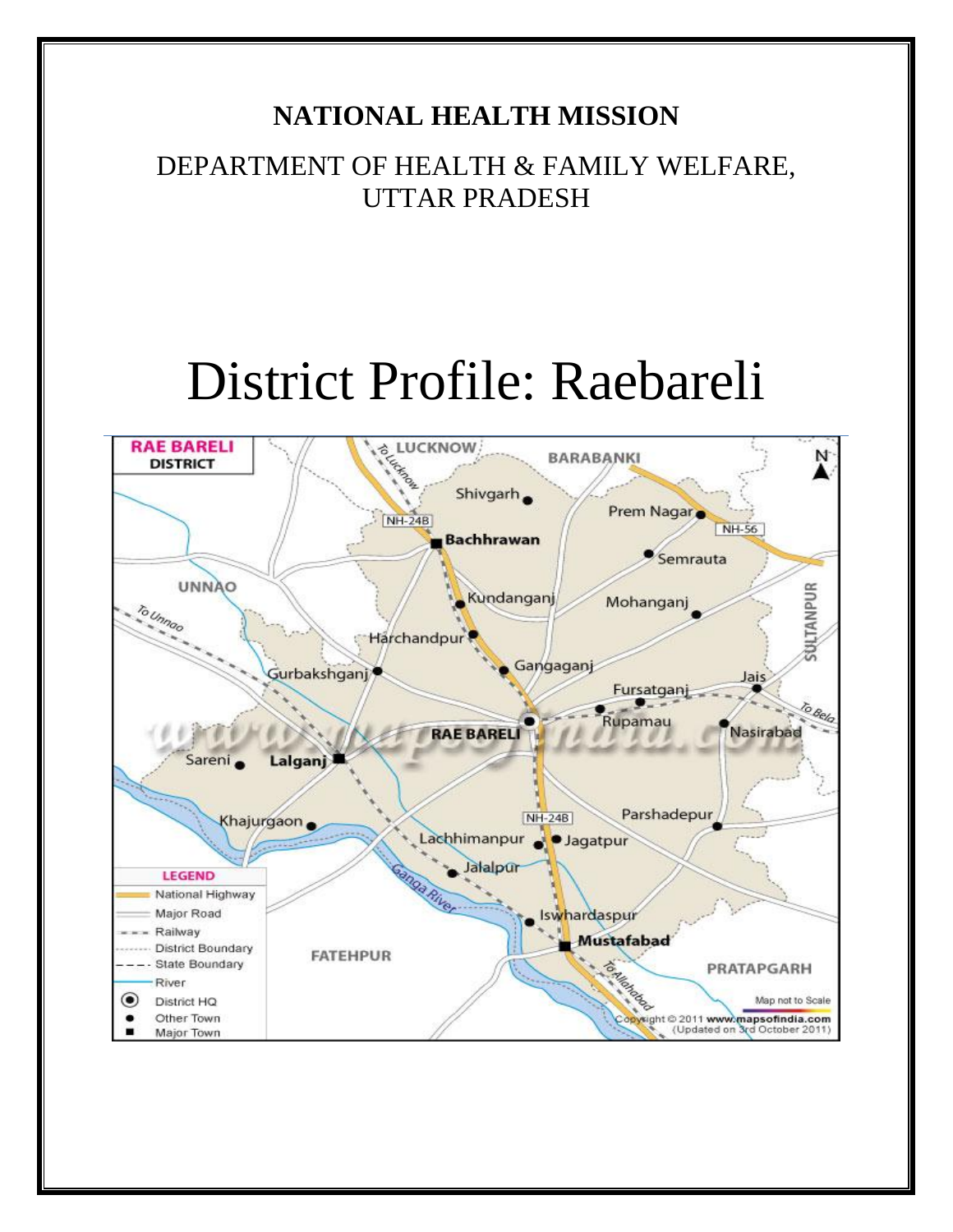# **NATIONAL HEALTH MISSION**

DEPARTMENT OF HEALTH & FAMILY WELFARE, UTTAR PRADESH

# District Profile: Raebareli

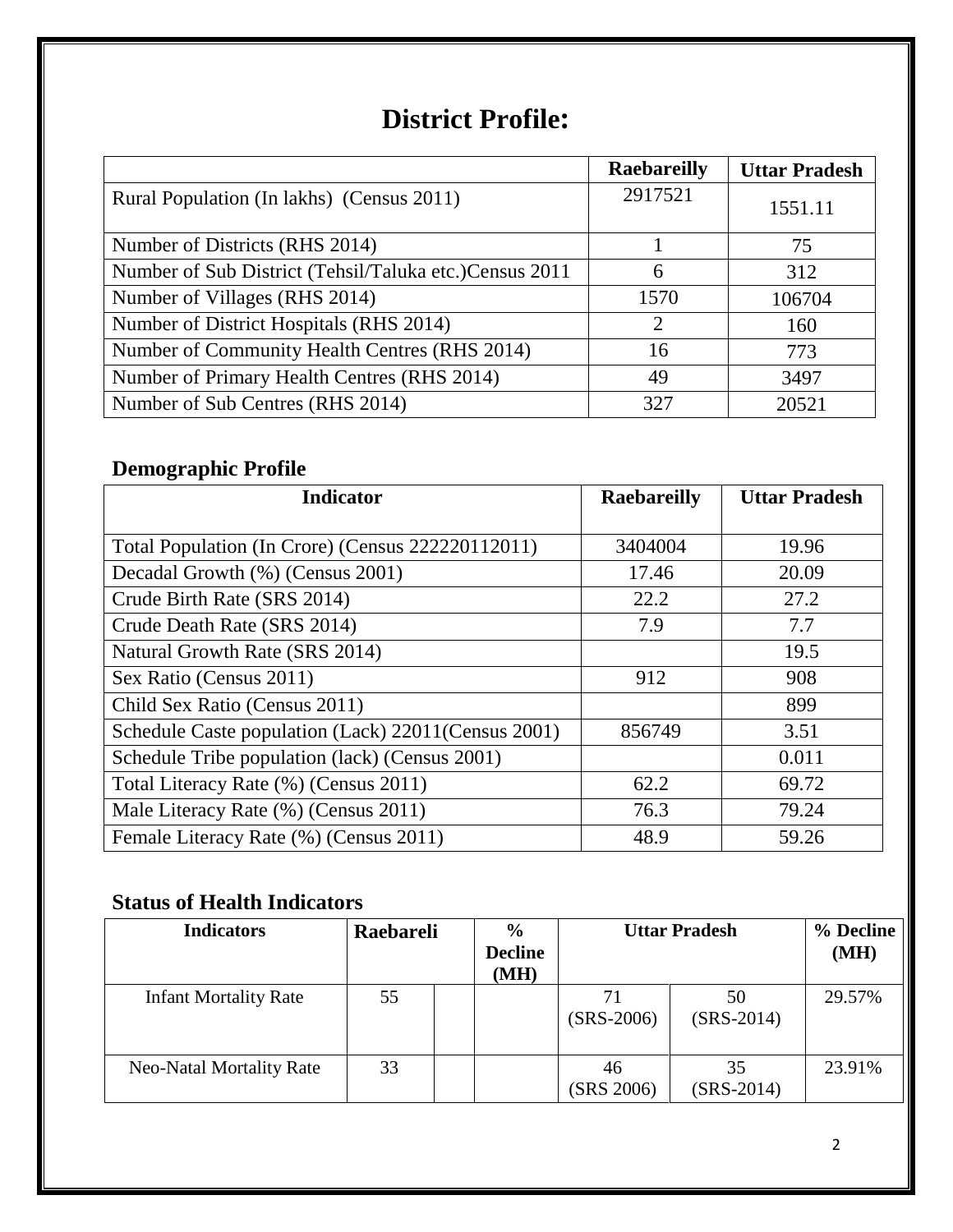# **District Profile:**

|                                                         | <b>Raebareilly</b> | <b>Uttar Pradesh</b> |
|---------------------------------------------------------|--------------------|----------------------|
| Rural Population (In lakhs) (Census 2011)               | 2917521            | 1551.11              |
| Number of Districts (RHS 2014)                          |                    | 75                   |
| Number of Sub District (Tehsil/Taluka etc.) Census 2011 | 6                  | 312                  |
| Number of Villages (RHS 2014)                           | 1570               | 106704               |
| Number of District Hospitals (RHS 2014)                 | 2                  | 160                  |
| Number of Community Health Centres (RHS 2014)           | 16                 | 773                  |
| Number of Primary Health Centres (RHS 2014)             | 49                 | 3497                 |
| Number of Sub Centres (RHS 2014)                        | 327                | 20521                |

# **Demographic Profile**

| <b>Indicator</b>                                     | <b>Raebareilly</b> | <b>Uttar Pradesh</b> |
|------------------------------------------------------|--------------------|----------------------|
|                                                      |                    |                      |
| Total Population (In Crore) (Census 222220112011)    | 3404004            | 19.96                |
| Decadal Growth (%) (Census 2001)                     | 17.46              | 20.09                |
| Crude Birth Rate (SRS 2014)                          | 22.2               | 27.2                 |
| Crude Death Rate (SRS 2014)                          | 7.9                | 7.7                  |
| Natural Growth Rate (SRS 2014)                       |                    | 19.5                 |
| Sex Ratio (Census 2011)                              | 912                | 908                  |
| Child Sex Ratio (Census 2011)                        |                    | 899                  |
| Schedule Caste population (Lack) 22011 (Census 2001) | 856749             | 3.51                 |
| Schedule Tribe population (lack) (Census 2001)       |                    | 0.011                |
| Total Literacy Rate (%) (Census 2011)                | 62.2               | 69.72                |
| Male Literacy Rate (%) (Census 2011)                 | 76.3               | 79.24                |
| Female Literacy Rate (%) (Census 2011)               | 48.9               | 59.26                |

## **Status of Health Indicators**

| <b>Indicators</b>               | Raebareli | $\frac{0}{0}$<br><b>Decline</b><br>(MH) |                    | <b>Uttar Pradesh</b> | % Decline<br>(MH) |
|---------------------------------|-----------|-----------------------------------------|--------------------|----------------------|-------------------|
| <b>Infant Mortality Rate</b>    | 55        |                                         | 71<br>$(SRS-2006)$ | 50<br>$(SRS-2014)$   | 29.57%            |
| <b>Neo-Natal Mortality Rate</b> | 33        |                                         | 46<br>(SRS 2006)   | 35<br>$(SRS-2014)$   | 23.91%            |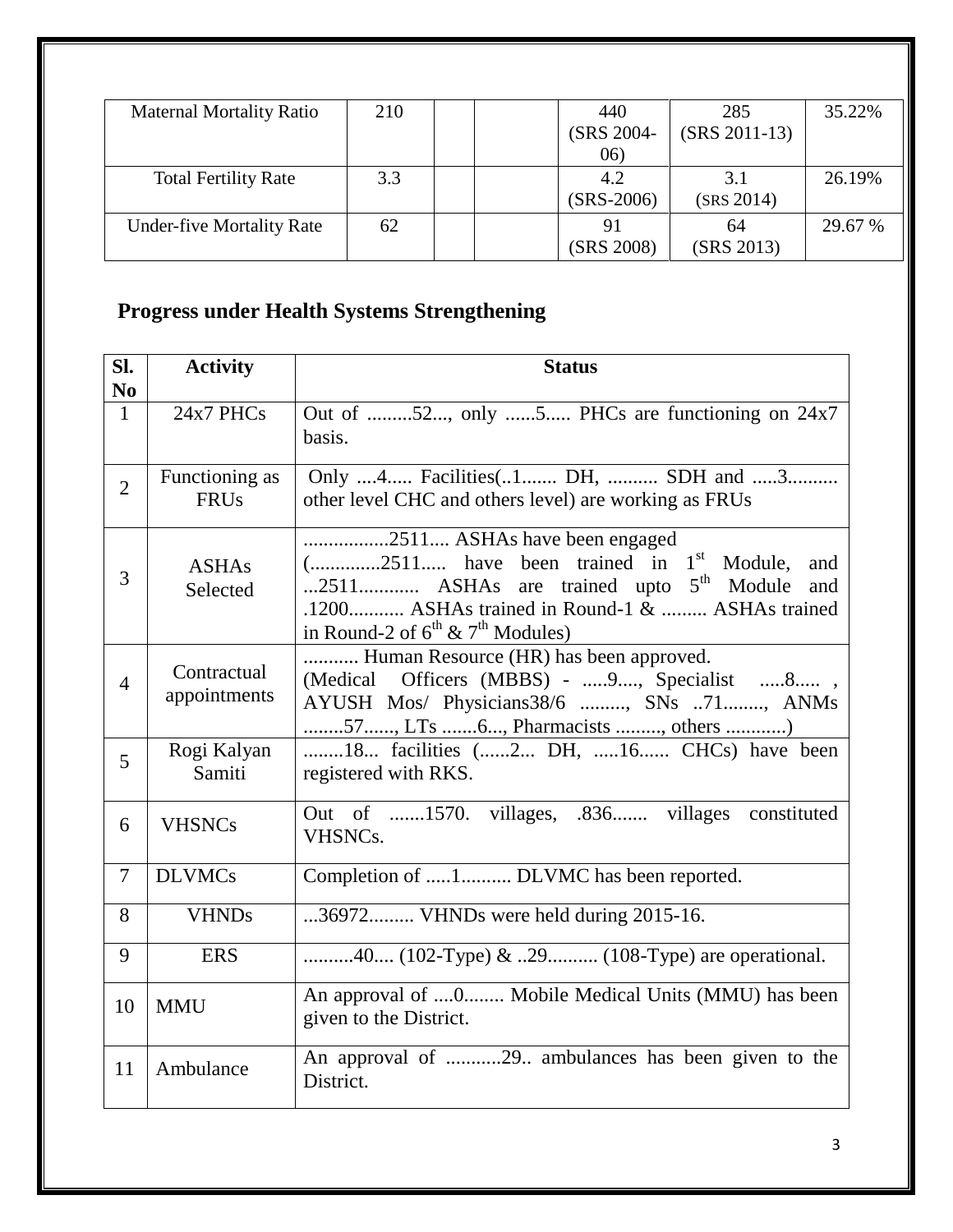| <b>Maternal Mortality Ratio</b>  | 210 |  | 440          | 285             | 35.22%  |
|----------------------------------|-----|--|--------------|-----------------|---------|
|                                  |     |  | (SRS 2004-   | $(SRS 2011-13)$ |         |
|                                  |     |  | 06)          |                 |         |
| <b>Total Fertility Rate</b>      | 3.3 |  | 4.2          | 3.1             | 26.19%  |
|                                  |     |  | $(SRS-2006)$ | (SRS 2014)      |         |
| <b>Under-five Mortality Rate</b> | 62  |  | 91           | 64              | 29.67 % |
|                                  |     |  | (SRS 2008)   | (SRS 2013)      |         |

# **Progress under Health Systems Strengthening**

| SI.<br>N <sub>0</sub> | <b>Activity</b>               | <b>Status</b>                                                                                                                                                                                                                                           |  |  |  |  |
|-----------------------|-------------------------------|---------------------------------------------------------------------------------------------------------------------------------------------------------------------------------------------------------------------------------------------------------|--|--|--|--|
| $\mathbf{1}$          | 24x7 PHCs                     | Out of 52, only 5 PHCs are functioning on 24x7<br>basis.                                                                                                                                                                                                |  |  |  |  |
| $\overline{2}$        | Functioning as<br><b>FRUs</b> | Only 4 Facilities(1 DH,  SDH and 3<br>other level CHC and others level) are working as FRUs                                                                                                                                                             |  |  |  |  |
| 3                     | <b>ASHAs</b><br>Selected      | 2511 ASHAs have been engaged<br>$($ 2511 have been trained in 1 <sup>st</sup> Module,<br>and<br>2511 ASHAs are trained upto 5 <sup>th</sup> Module and<br>.1200 ASHAs trained in Round-1 &  ASHAs trained<br>in Round-2 of $6^{th}$ & $7^{th}$ Modules) |  |  |  |  |
| $\overline{4}$        | Contractual<br>appointments   | Human Resource (HR) has been approved.<br>(Medical Officers (MBBS) - 9, Specialist 8,<br>AYUSH Mos/ Physicians38/6 , SNs 71, ANMs<br>57, LTs 6, Pharmacists , others )                                                                                  |  |  |  |  |
| $\overline{5}$        | Rogi Kalyan<br>Samiti         | 18 facilities (2 DH, 16 CHCs) have been<br>registered with RKS.                                                                                                                                                                                         |  |  |  |  |
| 6                     | <b>VHSNCs</b>                 | Out of 1570. villages, .836 villages constituted<br>VHSNC <sub>s</sub> .                                                                                                                                                                                |  |  |  |  |
| $\tau$                | <b>DLVMCs</b>                 | Completion of 1 DLVMC has been reported.                                                                                                                                                                                                                |  |  |  |  |
| 8                     | <b>VHNDs</b>                  | 36972 VHNDs were held during 2015-16.                                                                                                                                                                                                                   |  |  |  |  |
| 9                     | <b>ERS</b>                    | 40 (102-Type) & 29 (108-Type) are operational.                                                                                                                                                                                                          |  |  |  |  |
| 10                    | <b>MMU</b>                    | An approval of 0 Mobile Medical Units (MMU) has been<br>given to the District.                                                                                                                                                                          |  |  |  |  |
| 11                    | Ambulance                     | An approval of 29 ambulances has been given to the<br>District.                                                                                                                                                                                         |  |  |  |  |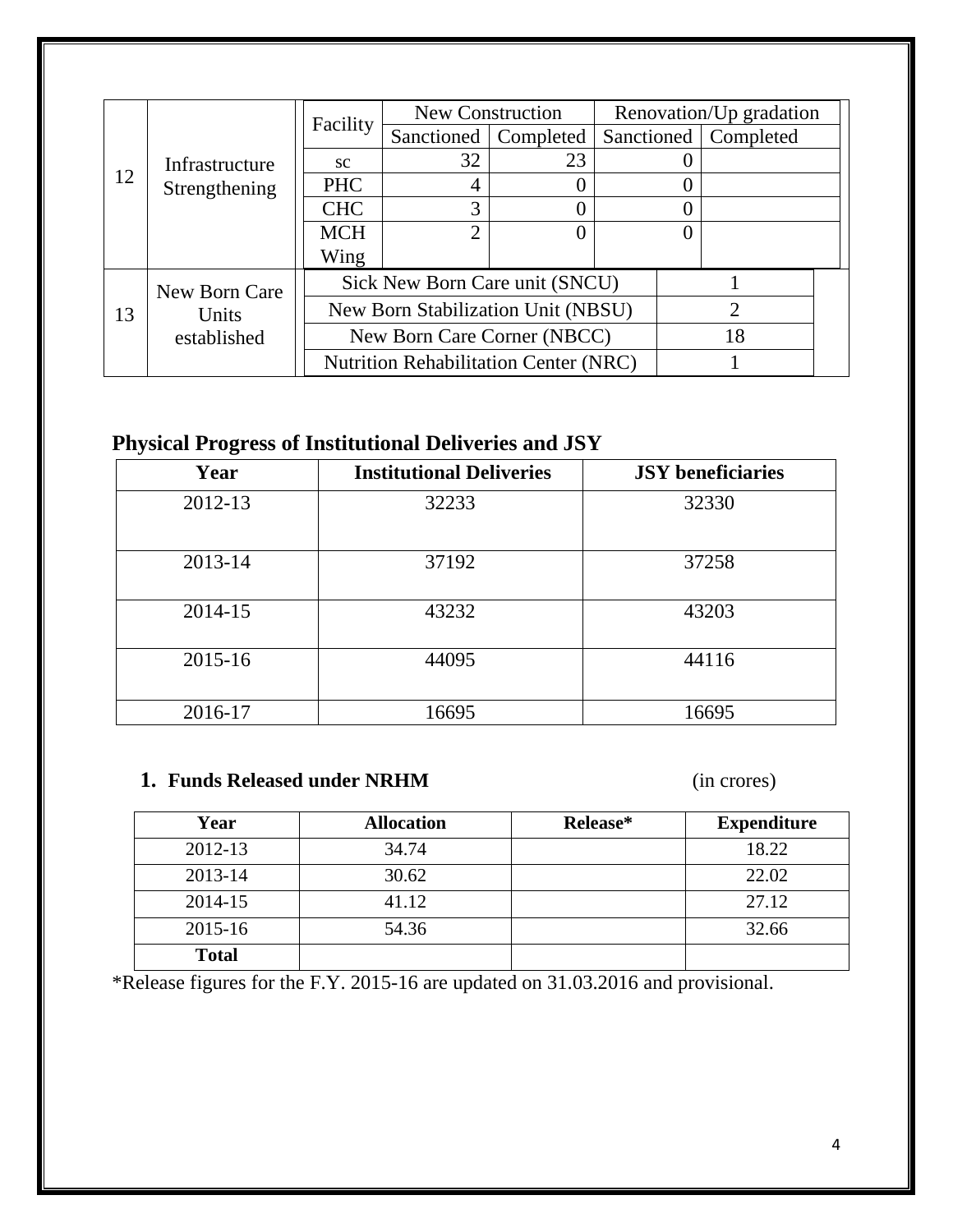|    |                |                                                                   |                                              | New Construction       |  | Renovation/Up gradation |  |
|----|----------------|-------------------------------------------------------------------|----------------------------------------------|------------------------|--|-------------------------|--|
|    |                | Facility                                                          |                                              | Sanctioned   Completed |  | Sanctioned   Completed  |  |
|    | Infrastructure | <b>SC</b>                                                         | 32                                           | 23                     |  |                         |  |
| 12 | Strengthening  | <b>PHC</b>                                                        | 4                                            |                        |  |                         |  |
|    |                | <b>CHC</b>                                                        | 3                                            |                        |  |                         |  |
|    |                | <b>MCH</b>                                                        | $\overline{2}$                               |                        |  |                         |  |
|    |                | Wing                                                              |                                              |                        |  |                         |  |
|    | New Born Care  | Sick New Born Care unit (SNCU)                                    |                                              |                        |  |                         |  |
| 13 | Units          | New Born Stabilization Unit (NBSU)<br>New Born Care Corner (NBCC) |                                              |                        |  |                         |  |
|    | established    |                                                                   |                                              |                        |  | 18                      |  |
|    |                |                                                                   | <b>Nutrition Rehabilitation Center (NRC)</b> |                        |  |                         |  |

# **Physical Progress of Institutional Deliveries and JSY**

| Year    | <b>Institutional Deliveries</b> | <b>JSY</b> beneficiaries |
|---------|---------------------------------|--------------------------|
| 2012-13 | 32233                           | 32330                    |
| 2013-14 | 37192                           | 37258                    |
| 2014-15 | 43232                           | 43203                    |
| 2015-16 | 44095                           | 44116                    |
| 2016-17 | 16695                           | 16695                    |

#### **1. Funds Released under NRHM** (in crores)

| Year         | <b>Allocation</b> | Release* | <b>Expenditure</b> |
|--------------|-------------------|----------|--------------------|
| 2012-13      | 34.74             |          | 18.22              |
| 2013-14      | 30.62             |          | 22.02              |
| 2014-15      | 41.12             |          | 27.12              |
| 2015-16      | 54.36             |          | 32.66              |
| <b>Total</b> |                   |          |                    |

\*Release figures for the F.Y. 2015-16 are updated on 31.03.2016 and provisional.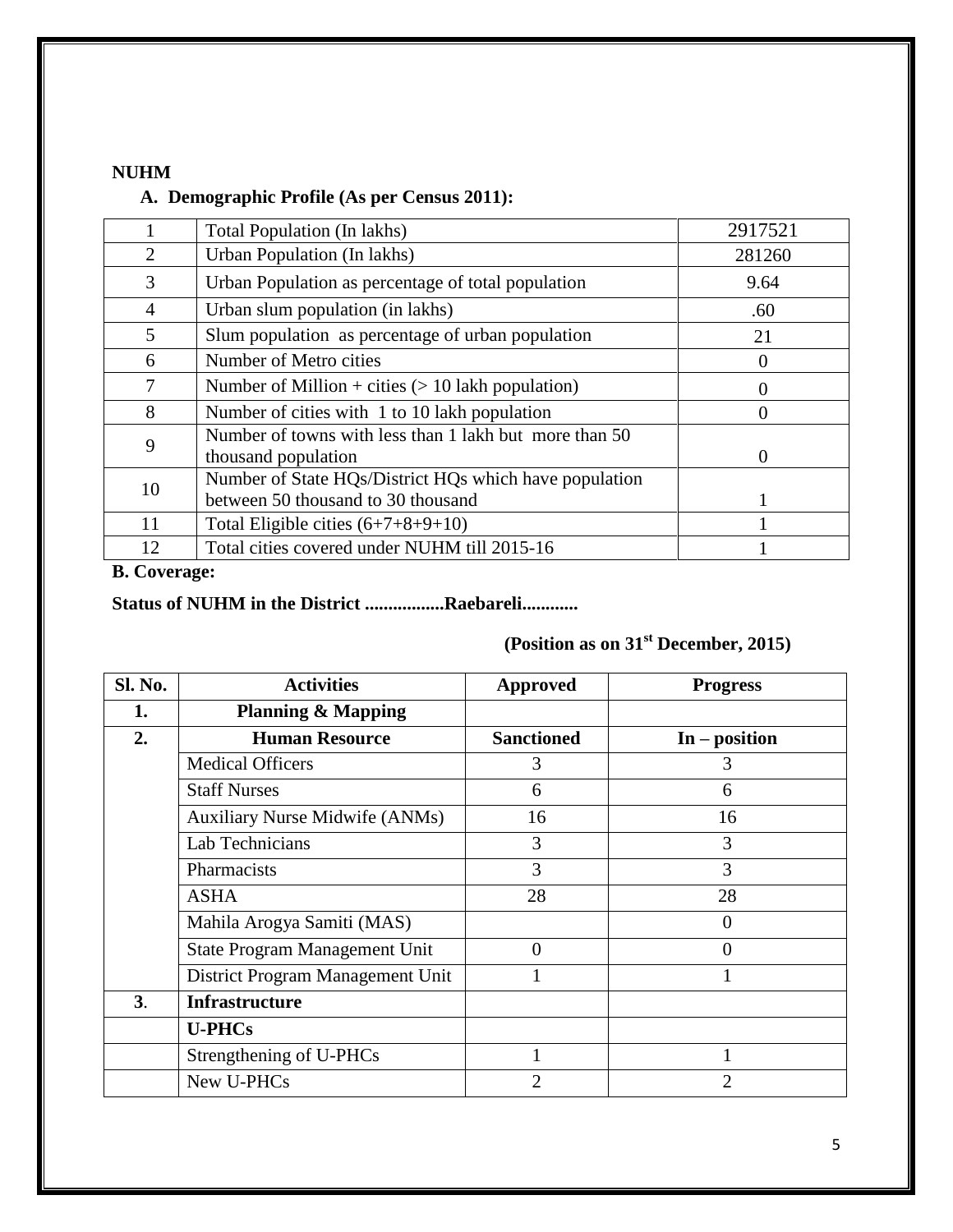#### **NUHM**

#### **A. Demographic Profile (As per Census 2011):**

|                | Total Population (In lakhs)                                                                  | 2917521 |
|----------------|----------------------------------------------------------------------------------------------|---------|
| 2              | Urban Population (In lakhs)                                                                  | 281260  |
| 3              | Urban Population as percentage of total population                                           | 9.64    |
| $\overline{4}$ | Urban slum population (in lakhs)                                                             | .60     |
| 5              | Slum population as percentage of urban population                                            | 21      |
| 6              | Number of Metro cities                                                                       |         |
| 7              | Number of Million + cities $(> 10$ lakh population)                                          |         |
| 8              | Number of cities with 1 to 10 lakh population                                                |         |
| 9              | Number of towns with less than 1 lakh but more than 50<br>thousand population                | 0       |
| 10             | Number of State HQs/District HQs which have population<br>between 50 thousand to 30 thousand |         |
| 11             | Total Eligible cities $(6+7+8+9+10)$                                                         |         |
| 12             | Total cities covered under NUHM till 2015-16                                                 |         |

#### **B. Coverage:**

### **Status of NUHM in the District .................Raebareli............**

# **(Position as on 31st December, 2015)**

| Sl. No.        | <b>Activities</b>                     | <b>Approved</b>   | <b>Progress</b> |
|----------------|---------------------------------------|-------------------|-----------------|
| 1.             | <b>Planning &amp; Mapping</b>         |                   |                 |
| 2.             | <b>Human Resource</b>                 | <b>Sanctioned</b> | $In - position$ |
|                | <b>Medical Officers</b>               | 3                 | 3               |
|                | <b>Staff Nurses</b>                   | 6                 | 6               |
|                | <b>Auxiliary Nurse Midwife (ANMs)</b> | 16                | 16              |
|                | Lab Technicians                       | 3                 | 3               |
|                | Pharmacists                           | 3                 | 3               |
|                | <b>ASHA</b>                           | 28                | 28              |
|                | Mahila Arogya Samiti (MAS)            |                   | $\overline{0}$  |
|                | <b>State Program Management Unit</b>  | 0                 | 0               |
|                | District Program Management Unit      |                   |                 |
| 3 <sub>1</sub> | <b>Infrastructure</b>                 |                   |                 |
|                | <b>U-PHCs</b>                         |                   |                 |
|                | Strengthening of U-PHCs               | 1                 |                 |
|                | New U-PHCs                            | $\overline{2}$    | 2               |